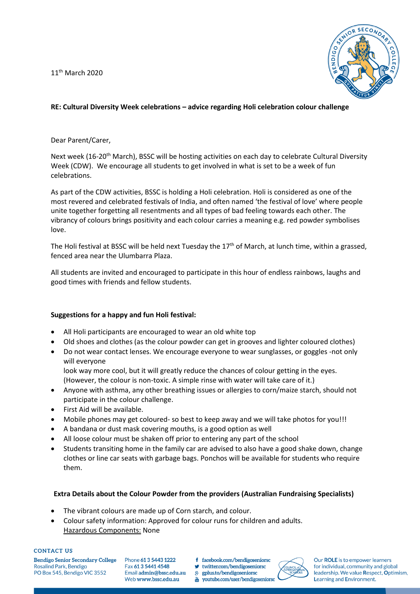11<sup>th</sup> March 2020



## **RE: Cultural Diversity Week celebrations – advice regarding Holi celebration colour challenge**

Dear Parent/Carer,

Next week (16-20<sup>th</sup> March), BSSC will be hosting activities on each day to celebrate Cultural Diversity Week (CDW). We encourage all students to get involved in what is set to be a week of fun celebrations.

As part of the CDW activities, BSSC is holding a Holi celebration. Holi is considered as one of the most revered and celebrated festivals of India, and often named 'the festival of love' where people unite together forgetting all resentments and all types of bad feeling towards each other. The vibrancy of colours brings positivity and each colour carries a meaning e.g. red powder symbolises love.

The Holi festival at BSSC will be held next Tuesday the  $17<sup>th</sup>$  of March, at lunch time, within a grassed, fenced area near the Ulumbarra Plaza.

All students are invited and encouraged to participate in this hour of endless rainbows, laughs and good times with friends and fellow students.

## **Suggestions for a happy and fun Holi festival:**

- All Holi participants are encouraged to wear an old white top
- Old shoes and clothes (as the colour powder can get in grooves and lighter coloured clothes)
- Do not wear contact lenses. We encourage everyone to wear sunglasses, or goggles -not only will everyone look way more cool, but it will greatly reduce the chances of colour getting in the eyes.
- (However, the colour is non-toxic. A simple rinse with water will take care of it.)
- Anyone with asthma, any other breathing issues or allergies to corn/maize starch, should not participate in the colour challenge.
- First Aid will be available.
- Mobile phones may get coloured- so best to keep away and we will take photos for you!!!
- A bandana or dust mask covering mouths, is a good option as well
- All loose colour must be shaken off prior to entering any part of the school
- Students transiting home in the family car are advised to also have a good shake down, change clothes or line car seats with garbage bags. Ponchos will be available for students who require them.

## **Extra Details about the Colour Powder from the providers (Australian Fundraising Specialists)**

- The vibrant colours are made up of Corn starch, and colour.
- Colour safety information: Approved for colour runs for children and adults. Hazardous Components: None

## **CONTACT US**

**Bendigo Senior Secondary College** Rosalind Park, Bendigo PO Box 545, Bendigo VIC 3552

Phone 61 3 5443 1222 Fax 61 3 5441 4548 Email admin@bssc.edu.au Web www.bssc.edu.au

- f facebook.com/bendigoseniorsc
- twitter.com/bendigoseniorsc 8+ gplus.to/bendigoseniorsc
- woutube.com/user/bendigoseniorsc



Our ROLE is to empower learners for individual, community and global leadership. We value Respect, Optimism, Learning and Environment.